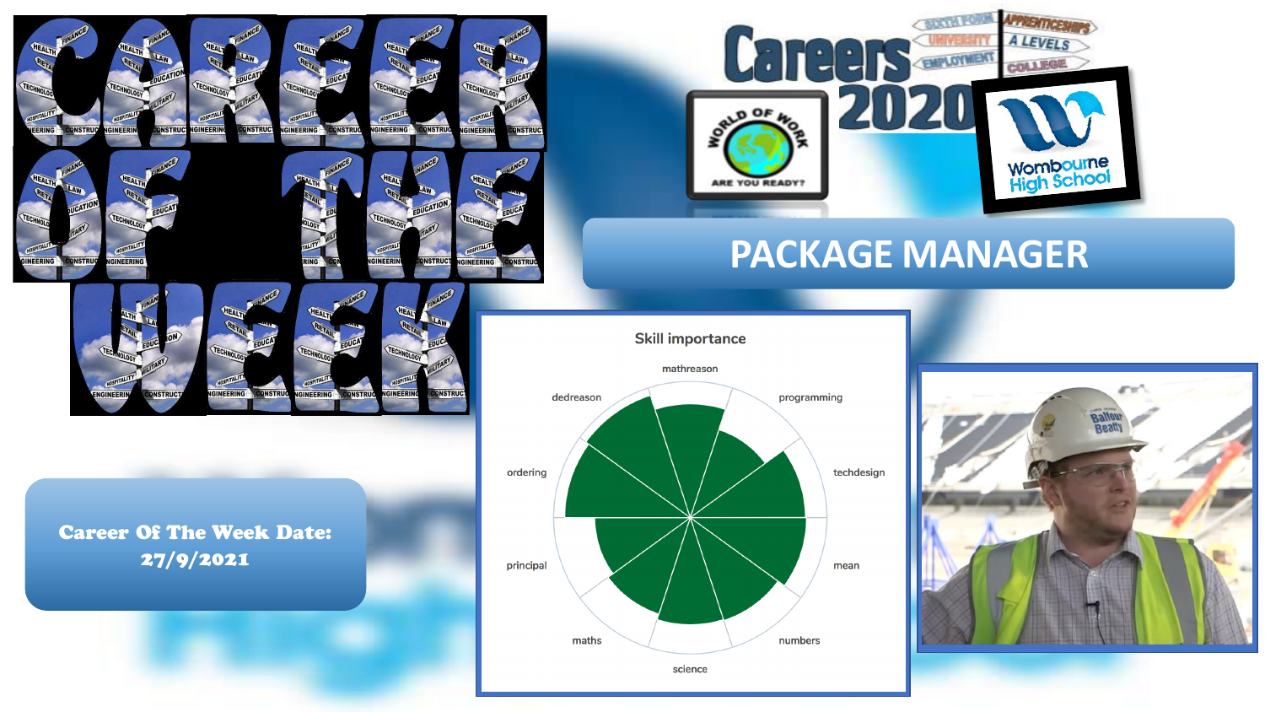

GINEERING

**ONSTRU** 

**INEER** 

**INSTRU** 



**INEERING** 

**ONSTRUC** 

GINFFR



# **PACKAGE MANAGER**

**Skill importance** 



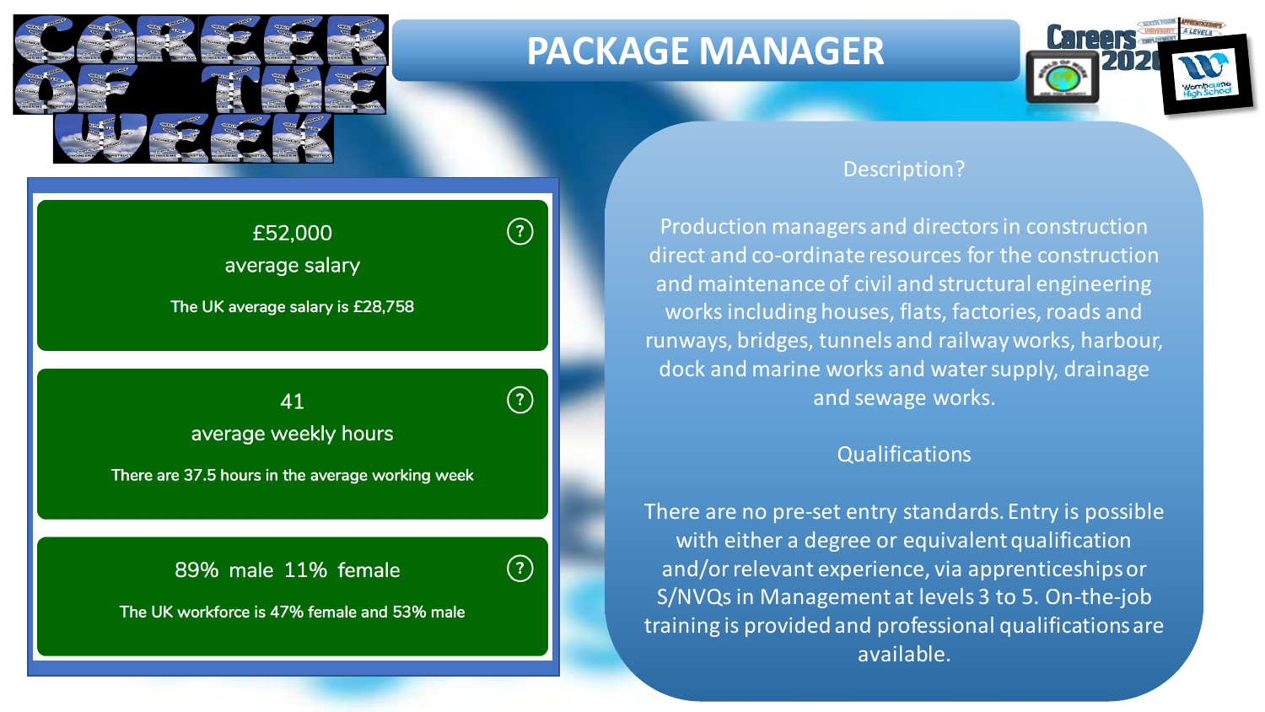

# **PACKAGE MANAGER**

 $\left( 3\right)$ 

 $\bigodot$ 



#### Description?

Production managers and directors in construction direct and co-ordinate resources for the construction and maintenance of civil and structural engineering works including houses, flats, factories, roads and runways, bridges, tunnels and railway works, harbour, dock and marine works and water supply, drainage and sewage works.

### **Qualifications**

There are no pre-set entry standards. Entry is possible with either a degree or equivalent qualification and/or relevant experience, via apprenticeships or S/NVQs in Management at levels 3 to 5. On-the-job training is provided and professional qualifications are available.

£52,000 average salary

The UK average salary is £28,758

Insert ava $\mathcal{I}$  hours and male  $\mathcal{I}$  hours and male  $\mathcal{I}$ average weekly hours

There are 37.5 hours in the average working week

89% male 11% female

The UK workforce is 47% female and 53% male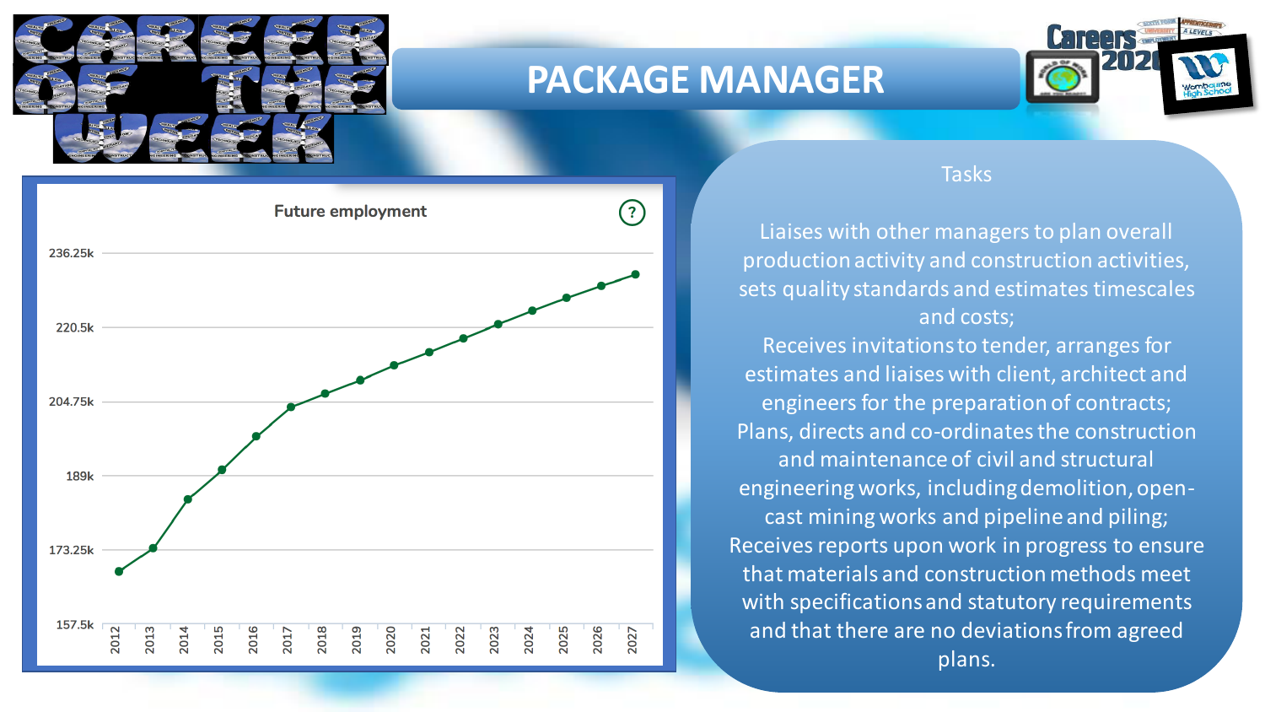

## **PACKAGE MANAGER**





### Tasks

Liaises with other managers to plan overall production activity and construction activities, sets quality standards and estimates timescales and costs;

Receives invitations to tender, arranges for estimates and liaises with client, architect and engineers for the preparation of contracts; Plans, directs and co-ordinates the construction and maintenance of civil and structural engineering works, including demolition, opencast mining works and pipeline and piling; Receives reports upon work in progress to ensure that materials and construction methods meet with specifications and statutory requirements and that there are no deviations from agreed plans.